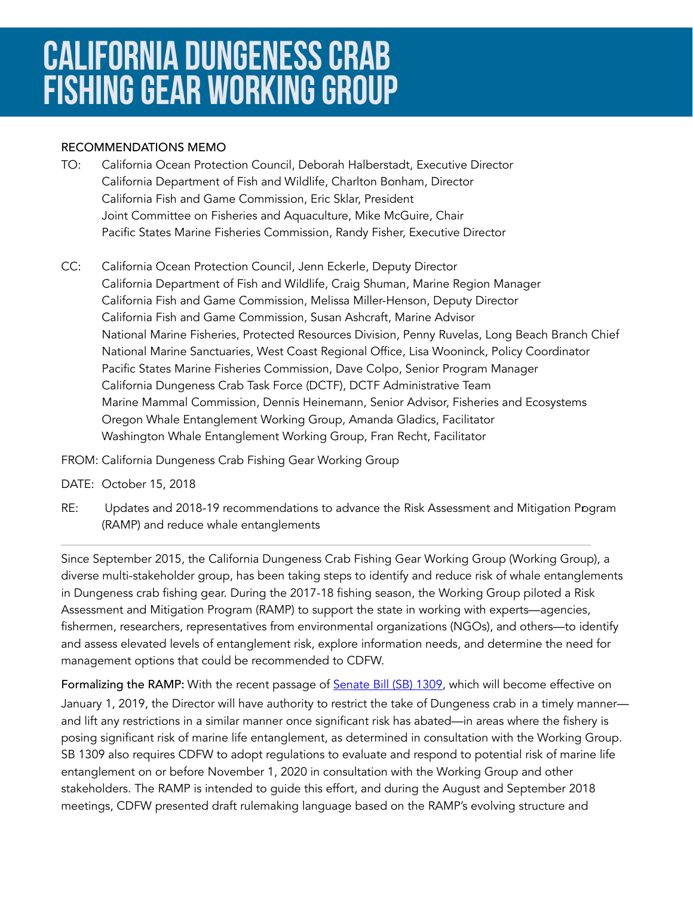## **CALIFORNIA DUNGENESS CRAB FISHING GEAR WORKING GROUP**

## RECOMMENDATIONS MEMO

- TO: California Ocean Protection Council, Deborah Halberstadt, Executive Director California Department of Fish and Wildlife, Charlton Bonham, Director California Fish and Game Commission, Eric Sklar, President Joint Committee on Fisheries and Aquaculture, Mike McGuire, Chair Pacific States Marine Fisheries Commission, Randy Fisher, Executive Director
- CC: California Ocean Protection Council, Jenn Eckerle, Deputy Director California Department of Fish and Wildlife, Craig Shuman, Marine Region Manager California Fish and Game Commission, Melissa Miller-Henson, Deputy Director California Fish and Game Commission, Susan Ashcraft, Marine Advisor National Marine Fisheries, Protected Resources Division, Penny Ruvelas, Long Beach Branch Chief National Marine Sanctuaries, West Coast Regional Office, Lisa Wooninck, Policy Coordinator Pacific States Marine Fisheries Commission, Dave Colpo, Senior Program Manager California Dungeness Crab Task Force (DCTF), DCTF Administrative Team Marine Mammal Commission, Dennis Heinemann, Senior Advisor, Fisheries and Ecosystems Oregon Whale Entanglement Working Group, Amanda Gladics, Facilitator Washington Whale Entanglement Working Group, Fran Recht, Facilitator
- FROM: California Dungeness Crab Fishing Gear Working Group
- DATE: October 15, 2018
- RE: Updates and 2018-19 recommendations to advance the Risk Assessment and Mitigation Pogram (RAMP) and reduce whale entanglements

Since September 2015, the California Dungeness Crab Fishing Gear Working Group (Working Group), a diverse multi-stakeholder group, has been taking steps to identify and reduce risk of whale entanglements in Dungeness crab fishing gear. During the 2017-18 fishing season, the Working Group piloted a Risk Assessment and Mitigation Program (RAMP) to support the state in working with experts—agencies, fishermen, researchers, representatives from environmental organizations (NGOs), and others—to identify and assess elevated levels of entanglement risk, explore information needs, and determine the need for management options that could be recommended to CDFW.

Formalizing the RAMP: With the recent passage of **[Senate Bill \(SB\) 1309](https://leginfo.legislature.ca.gov/faces/billTextClient.xhtml?bill_id=201720180SB1309)**, which will become effective on January 1, 2019, the Director will have authority to restrict the take of Dungeness crab in a timely manner and lift any restrictions in a similar manner once significant risk has abated—in areas where the fishery is posing significant risk of marine life entanglement, as determined in consultation with the Working Group. SB 1309 also requires CDFW to adopt regulations to evaluate and respond to potential risk of marine life entanglement on or before November 1, 2020 in consultation with the Working Group and other stakeholders. The RAMP is intended to guide this effort, and during the August and September 2018 meetings, CDFW presented draft rulemaking language based on the RAMP's evolving structure and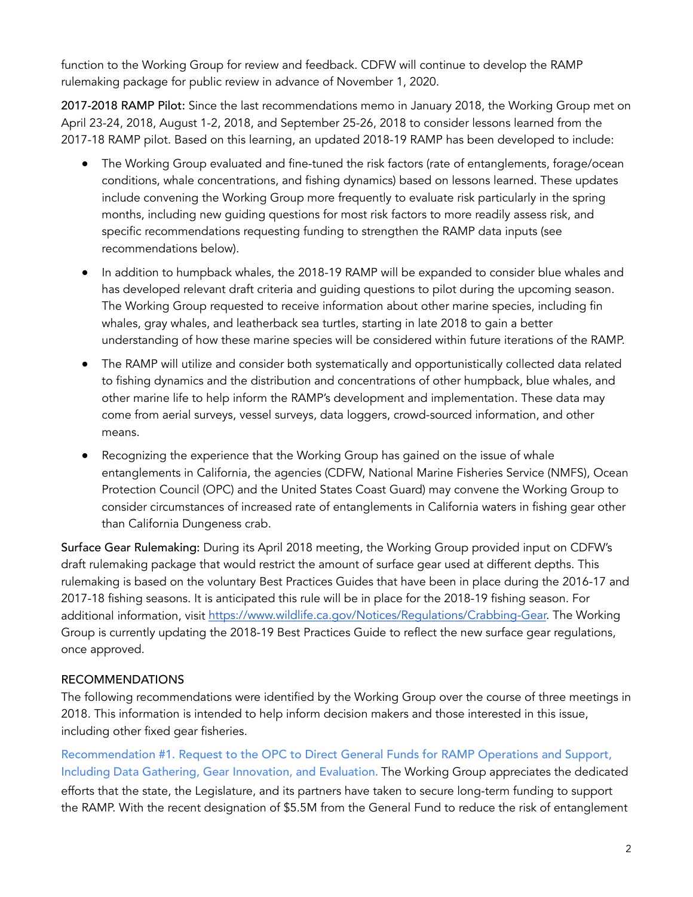function to the Working Group for review and feedback. CDFW will continue to develop the RAMP rulemaking package for public review in advance of November 1, 2020.

2017-2018 RAMP Pilot: Since the last recommendations memo in January 2018, the Working Group met on April 23-24, 2018, August 1-2, 2018, and September 25-26, 2018 to consider lessons learned from the 2017-18 RAMP pilot. Based on this learning, an updated 2018-19 RAMP has been developed to include:

- The Working Group evaluated and fine-tuned the risk factors (rate of entanglements, forage/ocean conditions, whale concentrations, and fishing dynamics) based on lessons learned. These updates include convening the Working Group more frequently to evaluate risk particularly in the spring months, including new guiding questions for most risk factors to more readily assess risk, and specific recommendations requesting funding to strengthen the RAMP data inputs (see recommendations below).
- ● In addition to humpback whales, the 2018-19 RAMP will be expanded to consider blue whales and has developed relevant draft criteria and guiding questions to pilot during the upcoming season. The Working Group requested to receive information about other marine species, including fin whales, gray whales, and leatherback sea turtles, starting in late 2018 to gain a better understanding of how these marine species will be considered within future iterations of the RAMP.
- The RAMP will utilize and consider both systematically and opportunistically collected data related to fishing dynamics and the distribution and concentrations of other humpback, blue whales, and other marine life to help inform the RAMP's development and implementation. These data may come from aerial surveys, vessel surveys, data loggers, crowd-sourced information, and other means.
- Recognizing the experience that the Working Group has gained on the issue of whale entanglements in California, the agencies (CDFW, National Marine Fisheries Service (NMFS), Ocean Protection Council (OPC) and the United States Coast Guard) may convene the Working Group to consider circumstances of increased rate of entanglements in California waters in fishing gear other than California Dungeness crab.

Surface Gear Rulemaking: During its April 2018 meeting, the Working Group provided input on CDFW's draft rulemaking package that would restrict the amount of surface gear used at different depths. This rulemaking is based on the voluntary Best Practices Guides that have been in place during the 2016-17 and 2017-18 fishing seasons. It is anticipated this rule will be in place for the 2018-19 fishing season. For additional information, visit [https://www.wildlife.ca.gov/Notices/Regulations/Crabbing-Gear.](https://www.wildlife.ca.gov/Notices/Regulations/Crabbing-Gear) The Working Group is currently updating the 2018-19 Best Practices Guide to reflect the new surface gear regulations, once approved.

## RECOMMENDATIONS

The following recommendations were identified by the Working Group over the course of three meetings in 2018. This information is intended to help inform decision makers and those interested in this issue, including other fixed gear fisheries.

Recommendation #1. Request to the OPC to Direct General Funds for RAMP Operations and Support, Including Data Gathering, Gear Innovation, and Evaluation. The Working Group appreciates the dedicated efforts that the state, the Legislature, and its partners have taken to secure long-term funding to support the RAMP. With the recent designation of \$5.5M from the General Fund to reduce the risk of entanglement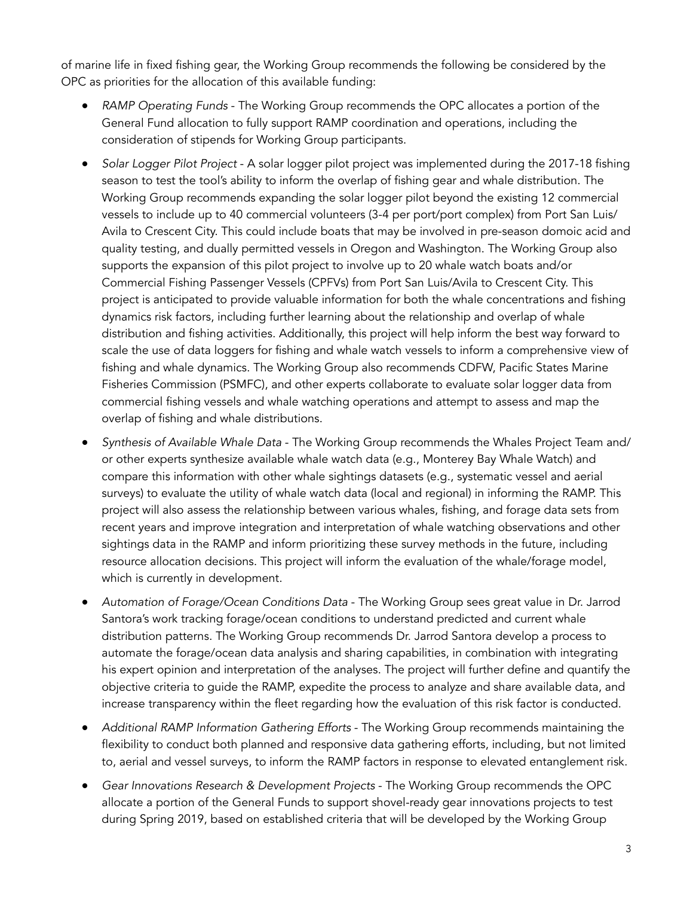of marine life in fixed fishing gear, the Working Group recommends the following be considered by the OPC as priorities for the allocation of this available funding:

- RAMP Operating Funds The Working Group recommends the OPC allocates a portion of the General Fund allocation to fully support RAMP coordination and operations, including the consideration of stipends for Working Group participants.
- ● *Solar Logger Pilot Project* A solar logger pilot project was implemented during the 2017-18 fishing season to test the tool's ability to inform the overlap of fishing gear and whale distribution. The Working Group recommends expanding the solar logger pilot beyond the existing 12 commercial vessels to include up to 40 commercial volunteers (3-4 per port/port complex) from Port San Luis/ Avila to Crescent City. This could include boats that may be involved in pre-season domoic acid and quality testing, and dually permitted vessels in Oregon and Washington. The Working Group also supports the expansion of this pilot project to involve up to 20 whale watch boats and/or Commercial Fishing Passenger Vessels (CPFVs) from Port San Luis/Avila to Crescent City. This project is anticipated to provide valuable information for both the whale concentrations and fishing dynamics risk factors, including further learning about the relationship and overlap of whale distribution and fishing activities. Additionally, this project will help inform the best way forward to scale the use of data loggers for fishing and whale watch vessels to inform a comprehensive view of fishing and whale dynamics. The Working Group also recommends CDFW, Pacific States Marine Fisheries Commission (PSMFC), and other experts collaborate to evaluate solar logger data from commercial fishing vessels and whale watching operations and attempt to assess and map the overlap of fishing and whale distributions.
- ● *Synthesis of Available Whale Data* The Working Group recommends the Whales Project Team and/ or other experts synthesize available whale watch data (e.g., Monterey Bay Whale Watch) and compare this information with other whale sightings datasets (e.g., systematic vessel and aerial surveys) to evaluate the utility of whale watch data (local and regional) in informing the RAMP. This project will also assess the relationship between various whales, fishing, and forage data sets from recent years and improve integration and interpretation of whale watching observations and other sightings data in the RAMP and inform prioritizing these survey methods in the future, including resource allocation decisions. This project will inform the evaluation of the whale/forage model, which is currently in development.
- ● *Automation of Forage/Ocean Conditions Data* The Working Group sees great value in Dr. Jarrod Santora's work tracking forage/ocean conditions to understand predicted and current whale distribution patterns. The Working Group recommends Dr. Jarrod Santora develop a process to automate the forage/ocean data analysis and sharing capabilities, in combination with integrating his expert opinion and interpretation of the analyses. The project will further define and quantify the objective criteria to guide the RAMP, expedite the process to analyze and share available data, and increase transparency within the fleet regarding how the evaluation of this risk factor is conducted.
- Additional RAMP Information Gathering Efforts The Working Group recommends maintaining the flexibility to conduct both planned and responsive data gathering efforts, including, but not limited to, aerial and vessel surveys, to inform the RAMP factors in response to elevated entanglement risk.
- ● *Gear Innovations Research & Development Projects*  The Working Group recommends the OPC allocate a portion of the General Funds to support shovel-ready gear innovations projects to test during Spring 2019, based on established criteria that will be developed by the Working Group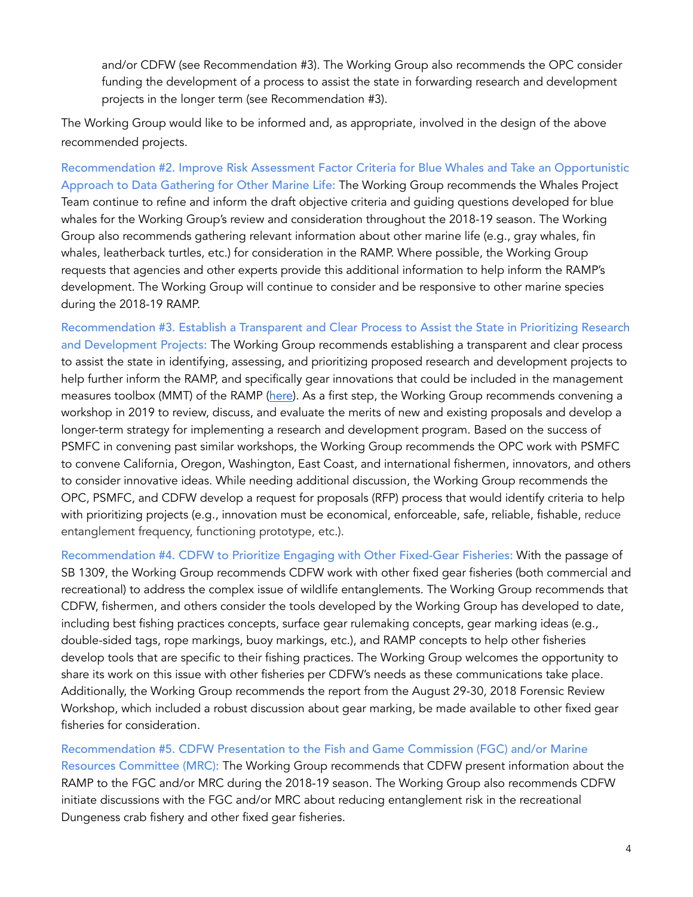and/or CDFW (see Recommendation #3). The Working Group also recommends the OPC consider funding the development of a process to assist the state in forwarding research and development projects in the longer term (see Recommendation #3).

The Working Group would like to be informed and, as appropriate, involved in the design of the above recommended projects.

Recommendation #2. Improve Risk Assessment Factor Criteria for Blue Whales and Take an Opportunistic Approach to Data Gathering for Other Marine Life: The Working Group recommends the Whales Project Team continue to refine and inform the draft objective criteria and guiding questions developed for blue whales for the Working Group's review and consideration throughout the 2018-19 season. The Working Group also recommends gathering relevant information about other marine life (e.g., gray whales, fin whales, leatherback turtles, etc.) for consideration in the RAMP. Where possible, the Working Group requests that agencies and other experts provide this additional information to help inform the RAMP's development. The Working Group will continue to consider and be responsive to other marine species during the 2018-19 RAMP.

Recommendation #3. Establish a Transparent and Clear Process to Assist the State in Prioritizing Research and Development Projects: The Working Group recommends establishing a transparent and clear process to assist the state in identifying, assessing, and prioritizing proposed research and development projects to help further inform the RAMP, and specifically gear innovations that could be included in the management measures toolbox (MMT) of the RAMP [\(here\)](http://www.opc.ca.gov/webmaster/_media_library/2018/08/RAMP_DraftMMT_Public-Consideration_August2018.pdf). As a first step, the Working Group recommends convening a workshop in 2019 to review, discuss, and evaluate the merits of new and existing proposals and develop a longer-term strategy for implementing a research and development program. Based on the success of PSMFC in convening past similar workshops, the Working Group recommends the OPC work with PSMFC to convene California, Oregon, Washington, East Coast, and international fishermen, innovators, and others to consider innovative ideas. While needing additional discussion, the Working Group recommends the OPC, PSMFC, and CDFW develop a request for proposals (RFP) process that would identify criteria to help with prioritizing projects (e.g., innovation must be economical, enforceable, safe, reliable, fishable, reduce entanglement frequency, functioning prototype, etc.).

Recommendation #4. CDFW to Prioritize Engaging with Other Fixed-Gear Fisheries: With the passage of SB 1309, the Working Group recommends CDFW work with other fixed gear fisheries (both commercial and recreational) to address the complex issue of wildlife entanglements. The Working Group recommends that CDFW, fishermen, and others consider the tools developed by the Working Group has developed to date, including best fishing practices concepts, surface gear rulemaking concepts, gear marking ideas (e.g., double-sided tags, rope markings, buoy markings, etc.), and RAMP concepts to help other fisheries develop tools that are specific to their fishing practices. The Working Group welcomes the opportunity to share its work on this issue with other fisheries per CDFW's needs as these communications take place. Additionally, the Working Group recommends the report from the August 29-30, 2018 Forensic Review Workshop, which included a robust discussion about gear marking, be made available to other fixed gear fisheries for consideration.

Recommendation #5. CDFW Presentation to the Fish and Game Commission (FGC) and/or Marine Resources Committee (MRC): The Working Group recommends that CDFW present information about the RAMP to the FGC and/or MRC during the 2018-19 season. The Working Group also recommends CDFW initiate discussions with the FGC and/or MRC about reducing entanglement risk in the recreational Dungeness crab fishery and other fixed gear fisheries.